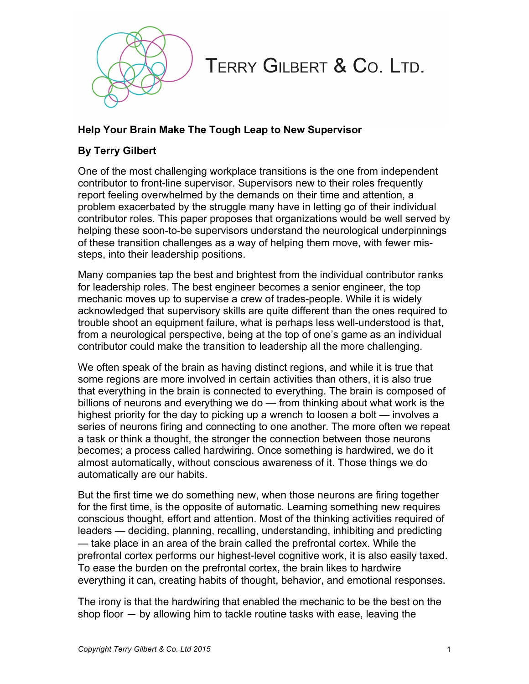

## TERRY GILBERT & Co. LTD.

## **Help Your Brain Make The Tough Leap to New Supervisor**

## **By Terry Gilbert**

One of the most challenging workplace transitions is the one from independent contributor to front-line supervisor. Supervisors new to their roles frequently report feeling overwhelmed by the demands on their time and attention, a problem exacerbated by the struggle many have in letting go of their individual contributor roles. This paper proposes that organizations would be well served by helping these soon-to-be supervisors understand the neurological underpinnings of these transition challenges as a way of helping them move, with fewer missteps, into their leadership positions.

Many companies tap the best and brightest from the individual contributor ranks for leadership roles. The best engineer becomes a senior engineer, the top mechanic moves up to supervise a crew of trades-people. While it is widely acknowledged that supervisory skills are quite different than the ones required to trouble shoot an equipment failure, what is perhaps less well-understood is that, from a neurological perspective, being at the top of one's game as an individual contributor could make the transition to leadership all the more challenging.

We often speak of the brain as having distinct regions, and while it is true that some regions are more involved in certain activities than others, it is also true that everything in the brain is connected to everything. The brain is composed of billions of neurons and everything we do — from thinking about what work is the highest priority for the day to picking up a wrench to loosen a bolt — involves a series of neurons firing and connecting to one another. The more often we repeat a task or think a thought, the stronger the connection between those neurons becomes; a process called hardwiring. Once something is hardwired, we do it almost automatically, without conscious awareness of it. Those things we do automatically are our habits.

But the first time we do something new, when those neurons are firing together for the first time, is the opposite of automatic. Learning something new requires conscious thought, effort and attention. Most of the thinking activities required of leaders — deciding, planning, recalling, understanding, inhibiting and predicting — take place in an area of the brain called the prefrontal cortex. While the prefrontal cortex performs our highest-level cognitive work, it is also easily taxed. To ease the burden on the prefrontal cortex, the brain likes to hardwire everything it can, creating habits of thought, behavior, and emotional responses.

The irony is that the hardwiring that enabled the mechanic to be the best on the shop floor — by allowing him to tackle routine tasks with ease, leaving the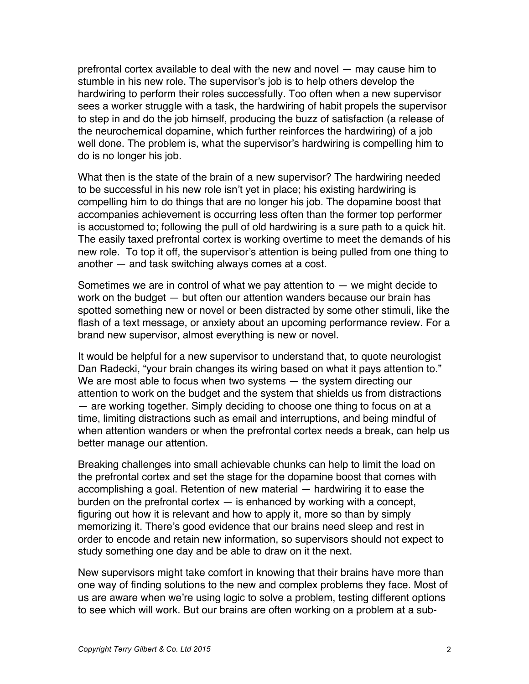prefrontal cortex available to deal with the new and novel — may cause him to stumble in his new role. The supervisor's job is to help others develop the hardwiring to perform their roles successfully. Too often when a new supervisor sees a worker struggle with a task, the hardwiring of habit propels the supervisor to step in and do the job himself, producing the buzz of satisfaction (a release of the neurochemical dopamine, which further reinforces the hardwiring) of a job well done. The problem is, what the supervisor's hardwiring is compelling him to do is no longer his job.

What then is the state of the brain of a new supervisor? The hardwiring needed to be successful in his new role isn't yet in place; his existing hardwiring is compelling him to do things that are no longer his job. The dopamine boost that accompanies achievement is occurring less often than the former top performer is accustomed to; following the pull of old hardwiring is a sure path to a quick hit. The easily taxed prefrontal cortex is working overtime to meet the demands of his new role. To top it off, the supervisor's attention is being pulled from one thing to another — and task switching always comes at a cost.

Sometimes we are in control of what we pay attention to  $-$  we might decide to work on the budget — but often our attention wanders because our brain has spotted something new or novel or been distracted by some other stimuli, like the flash of a text message, or anxiety about an upcoming performance review. For a brand new supervisor, almost everything is new or novel.

It would be helpful for a new supervisor to understand that, to quote neurologist Dan Radecki, "your brain changes its wiring based on what it pays attention to." We are most able to focus when two systems — the system directing our attention to work on the budget and the system that shields us from distractions — are working together. Simply deciding to choose one thing to focus on at a time, limiting distractions such as email and interruptions, and being mindful of when attention wanders or when the prefrontal cortex needs a break, can help us better manage our attention.

Breaking challenges into small achievable chunks can help to limit the load on the prefrontal cortex and set the stage for the dopamine boost that comes with accomplishing a goal. Retention of new material — hardwiring it to ease the burden on the prefrontal cortex  $-$  is enhanced by working with a concept, figuring out how it is relevant and how to apply it, more so than by simply memorizing it. There's good evidence that our brains need sleep and rest in order to encode and retain new information, so supervisors should not expect to study something one day and be able to draw on it the next.

New supervisors might take comfort in knowing that their brains have more than one way of finding solutions to the new and complex problems they face. Most of us are aware when we're using logic to solve a problem, testing different options to see which will work. But our brains are often working on a problem at a sub-